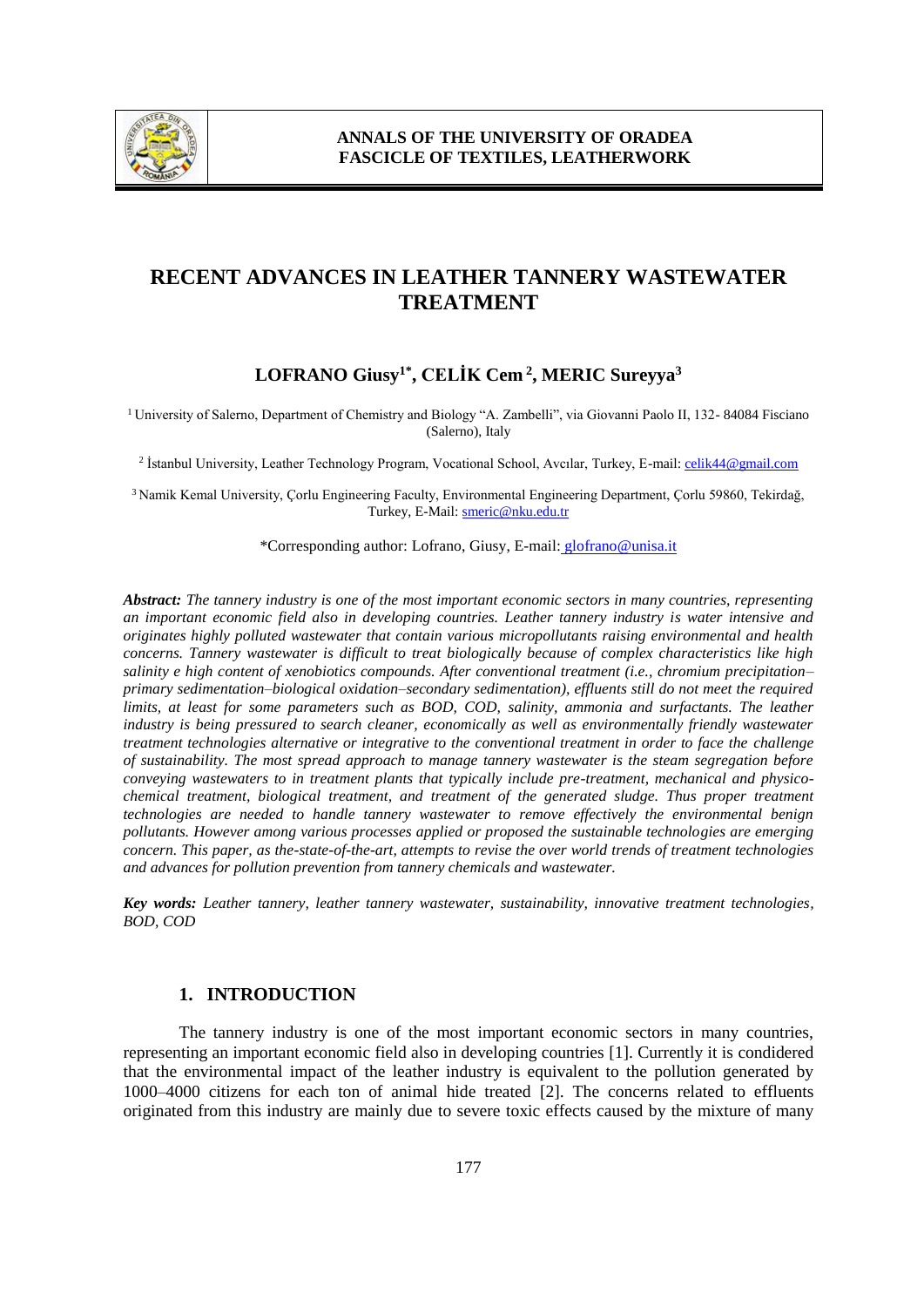

# **RECENT ADVANCES IN LEATHER TANNERY WASTEWATER TREATMENT**

## **LOFRANO Giusy1\* , CELİK Cem <sup>2</sup> , MERIC Sureyya<sup>3</sup>**

<sup>1</sup> University of Salerno, Department of Chemistry and Biology "A. Zambelli", via Giovanni Paolo II, 132- 84084 Fisciano (Salerno), Italy

<sup>2</sup> İstanbul University, Leather Technology Program, Vocational School, Avcılar, Turkey, E-mail: <u>celik44@gmail.com</u>

<sup>3</sup>Namik Kemal University, Çorlu Engineering Faculty, Environmental Engineering Department, Çorlu 59860, Tekirdağ, Turkey, E-Mail: smeric@nku.edu.tr

\*Corresponding author: Lofrano, Giusy, E-mail: glofrano@unisa.it

*Abstract: The tannery industry is one of the most important economic sectors in many countries, representing an important economic field also in developing countries. Leather tannery industry is water intensive and originates highly polluted wastewater that contain various micropollutants raising environmental and health concerns. Tannery wastewater is difficult to treat biologically because of complex characteristics like high salinity e high content of xenobiotics compounds. After conventional treatment (i.e., chromium precipitation– primary sedimentation–biological oxidation–secondary sedimentation), effluents still do not meet the required limits, at least for some parameters such as BOD, COD, salinity, ammonia and surfactants. The leather industry is being pressured to search cleaner, economically as well as environmentally friendly wastewater treatment technologies alternative or integrative to the conventional treatment in order to face the challenge of sustainability. The most spread approach to manage tannery wastewater is the steam segregation before conveying wastewaters to in treatment plants that typically include pre-treatment, mechanical and physicochemical treatment, biological treatment, and treatment of the generated sludge. Thus proper treatment technologies are needed to handle tannery wastewater to remove effectively the environmental benign pollutants. However among various processes applied or proposed the sustainable technologies are emerging concern. This paper, as the-state-of-the-art, attempts to revise the over world trends of treatment technologies and advances for pollution prevention from tannery chemicals and wastewater.*

*Key words: Leather tannery, leather tannery wastewater, sustainability, innovative treatment technologies, BOD, COD*

#### **1. INTRODUCTION**

The tannery industry is one of the most important economic sectors in many countries, representing an important economic field also in developing countries [1]. Currently it is condidered that the environmental impact of the leather industry is equivalent to the pollution generated by 1000–4000 citizens for each ton of animal hide treated [2]. The concerns related to effluents originated from this industry are mainly due to severe toxic effects caused by the mixture of many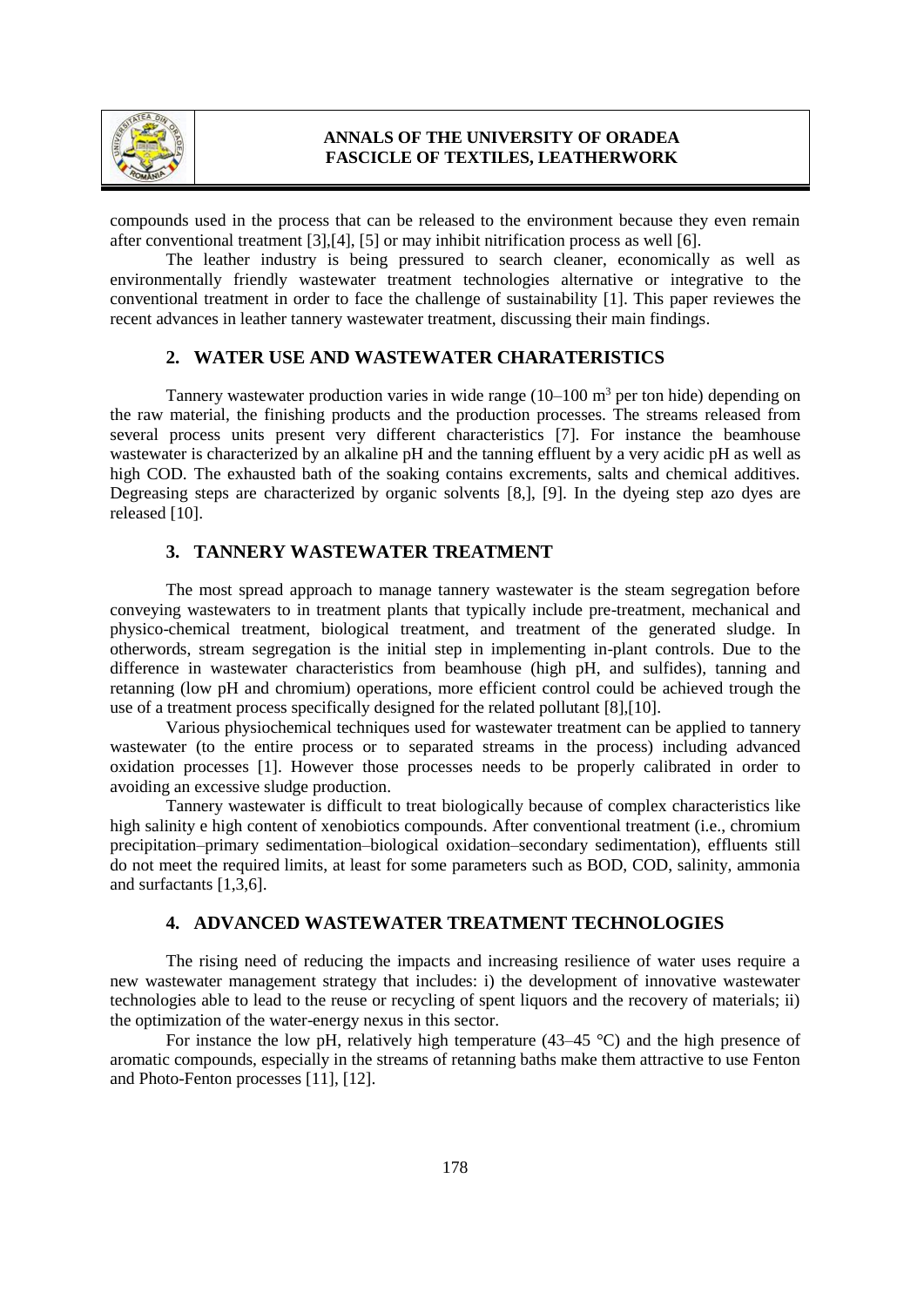

compounds used in the process that can be released to the environment because they even remain after conventional treatment [3],[4], [5] or may inhibit nitrification process as well [6].

The leather industry is being pressured to search cleaner, economically as well as environmentally friendly wastewater treatment technologies alternative or integrative to the conventional treatment in order to face the challenge of sustainability [1]. This paper reviewes the recent advances in leather tannery wastewater treatment, discussing their main findings.

#### **2. WATER USE AND WASTEWATER CHARATERISTICS**

Tannery wastewater production varies in wide range  $(10-100 \text{ m}^3 \text{ per ton hide})$  depending on the raw material, the finishing products and the production processes. The streams released from several process units present very different characteristics [7]. For instance the beamhouse wastewater is characterized by an alkaline pH and the tanning effluent by a very acidic pH as well as high COD. The exhausted bath of the soaking contains excrements, salts and chemical additives. Degreasing steps are characterized by organic solvents [8,], [9]. In the dyeing step azo dyes are released [10].

### **3. TANNERY WASTEWATER TREATMENT**

The most spread approach to manage tannery wastewater is the steam segregation before conveying wastewaters to in treatment plants that typically include pre-treatment, mechanical and physico-chemical treatment, biological treatment, and treatment of the generated sludge. In otherwords, stream segregation is the initial step in implementing in-plant controls. Due to the difference in wastewater characteristics from beamhouse (high pH, and sulfides), tanning and retanning (low pH and chromium) operations, more efficient control could be achieved trough the use of a treatment process specifically designed for the related pollutant [8],[10].

Various physiochemical techniques used for wastewater treatment can be applied to tannery wastewater (to the entire process or to separated streams in the process) including advanced oxidation processes [1]. However those processes needs to be properly calibrated in order to avoiding an excessive sludge production.

Tannery wastewater is difficult to treat biologically because of complex characteristics like high salinity e high content of xenobiotics compounds. After conventional treatment (i.e., chromium precipitation–primary sedimentation–biological oxidation–secondary sedimentation), effluents still do not meet the required limits, at least for some parameters such as BOD, COD, salinity, ammonia and surfactants [1,3,6].

#### **4. ADVANCED WASTEWATER TREATMENT TECHNOLOGIES**

The rising need of reducing the impacts and increasing resilience of water uses require a new wastewater management strategy that includes: i) the development of innovative wastewater technologies able to lead to the reuse or recycling of spent liquors and the recovery of materials; ii) the optimization of the water-energy nexus in this sector.

For instance the low pH, relatively high temperature  $(43-45 \degree C)$  and the high presence of aromatic compounds, especially in the streams of retanning baths make them attractive to use Fenton and Photo-Fenton processes [11], [12].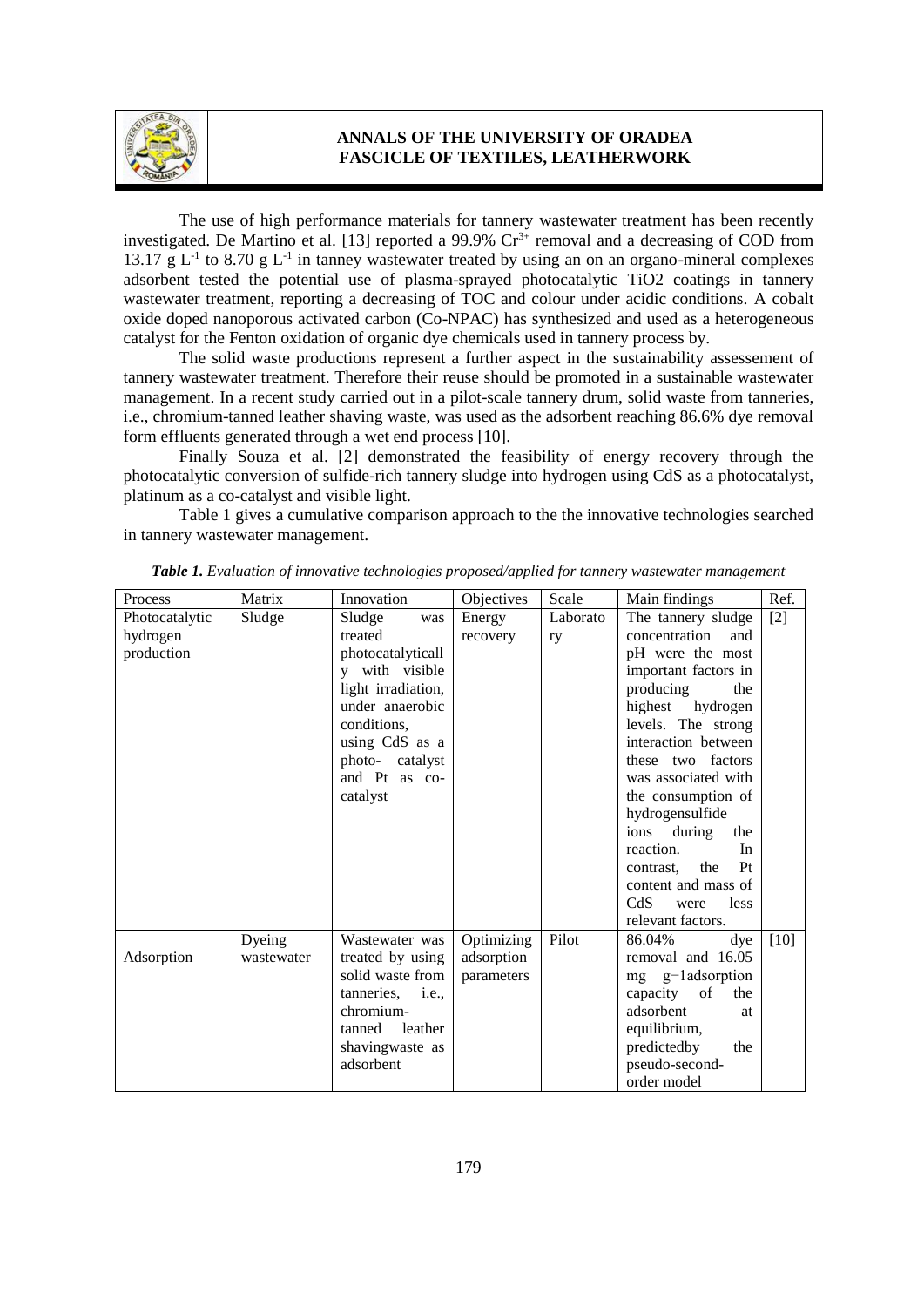

The use of high performance materials for tannery wastewater treatment has been recently investigated. De Martino et al. [13] reported a  $99.9\%$   $Cr<sup>3+</sup>$  removal and a decreasing of COD from 13.17 g  $L^{-1}$  to 8.70 g  $L^{-1}$  in tanney wastewater treated by using an on an organo-mineral complexes adsorbent tested the potential use of plasma-sprayed photocatalytic TiO2 coatings in tannery wastewater treatment, reporting a decreasing of TOC and colour under acidic conditions. A cobalt oxide doped nanoporous activated carbon (Co-NPAC) has synthesized and used as a heterogeneous catalyst for the Fenton oxidation of organic dye chemicals used in tannery process by.

The solid waste productions represent a further aspect in the sustainability assessement of tannery wastewater treatment. Therefore their reuse should be promoted in a sustainable wastewater management. In a recent study carried out in a pilot-scale tannery drum, solid waste from tanneries, i.e., chromium-tanned leather shaving waste, was used as the adsorbent reaching 86.6% dye removal form effluents generated through a wet end process [10].

Finally Souza et al. [2] demonstrated the feasibility of energy recovery through the photocatalytic conversion of sulfide-rich tannery sludge into hydrogen using CdS as a photocatalyst, platinum as a co-catalyst and visible light.

Table 1 gives a cumulative comparison approach to the the innovative technologies searched in tannery wastewater management.

| Process        | Matrix     | Innovation                | Objectives | Scale    | Main findings              | Ref.   |
|----------------|------------|---------------------------|------------|----------|----------------------------|--------|
| Photocatalytic | Sludge     | Sludge<br>was             | Energy     | Laborato | The tannery sludge         | $[2]$  |
| hydrogen       |            | treated                   | recovery   | ry       | concentration<br>and       |        |
| production     |            | photocatalyticall         |            |          | pH were the most           |        |
|                |            | with visible              |            |          | important factors in       |        |
|                |            | light irradiation,        |            |          | producing<br>the           |        |
|                |            | under anaerobic           |            |          | highest hydrogen           |        |
|                |            | conditions,               |            |          | levels. The strong         |        |
|                |            | using CdS as a            |            |          | interaction between        |        |
|                |            | photo-catalyst            |            |          | these two factors          |        |
|                |            | and Pt as co-             |            |          | was associated with        |        |
|                |            | catalyst                  |            |          | the consumption of         |        |
|                |            |                           |            |          | hydrogensulfide            |        |
|                |            |                           |            |          | during<br>the<br>ions      |        |
|                |            |                           |            |          | reaction.<br>In            |        |
|                |            |                           |            |          | Pt<br>the<br>contrast,     |        |
|                |            |                           |            |          | content and mass of        |        |
|                |            |                           |            |          | CdS<br><i>less</i><br>were |        |
|                |            |                           |            |          | relevant factors.          |        |
|                | Dyeing     | Wastewater was            | Optimizing | Pilot    | 86.04%<br>dye              | $[10]$ |
| Adsorption     | wastewater | treated by using          | adsorption |          | removal and 16.05          |        |
|                |            | solid waste from          | parameters |          | mg g-ladsorption           |        |
|                |            | tanneries,<br><i>i.e.</i> |            |          | capacity<br>of<br>the      |        |
|                |            | chromium-                 |            |          | adsorbent<br><b>at</b>     |        |
|                |            | leather<br>tanned         |            |          | equilibrium,               |        |
|                |            | shavingwaste as           |            |          | predictedby<br>the         |        |
|                |            | adsorbent                 |            |          | pseudo-second-             |        |
|                |            |                           |            |          | order model                |        |

*Table 1. Evaluation of innovative technologies proposed/applied for tannery wastewater management*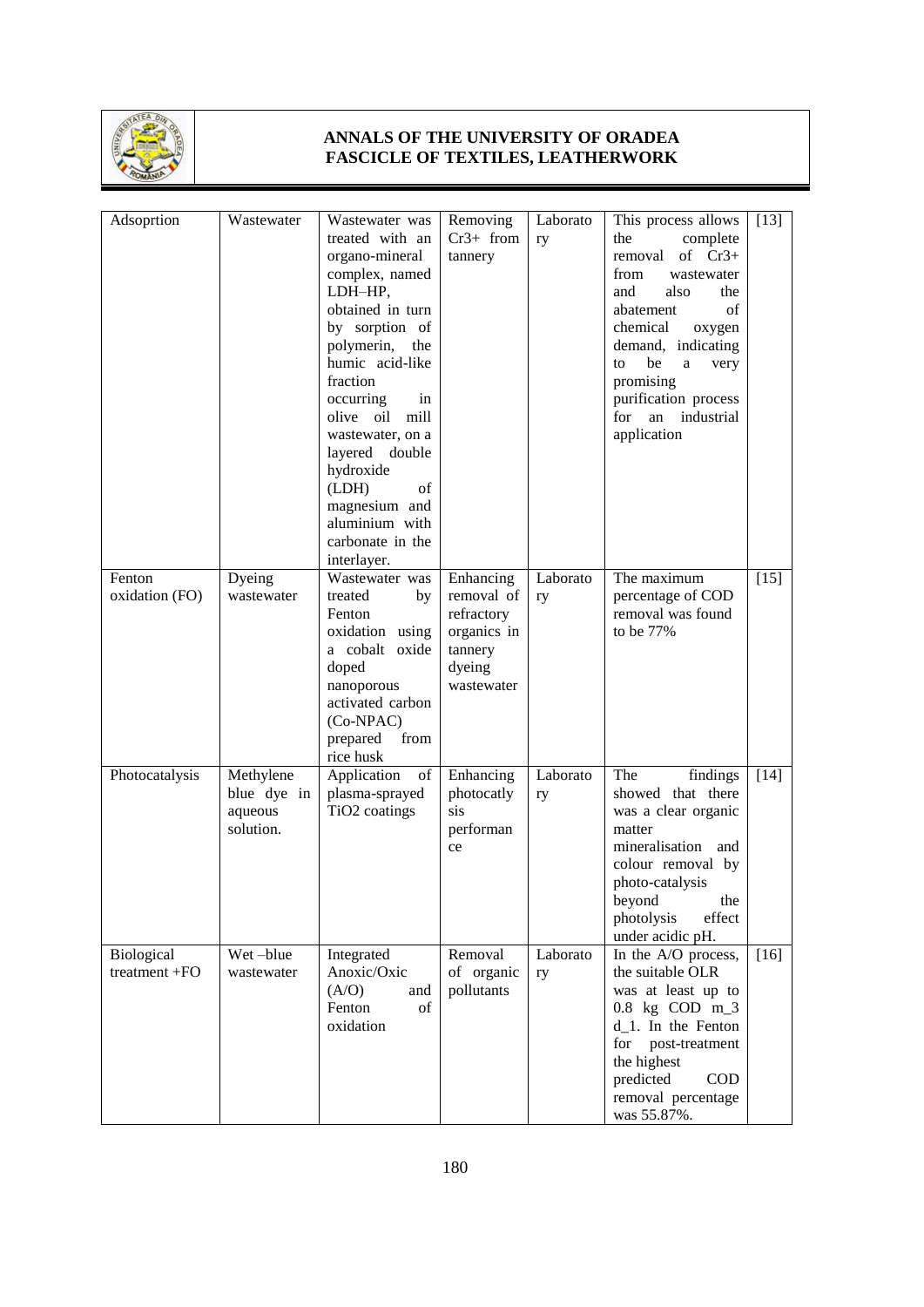

| Adsoprtion        | Wastewater  | Wastewater was            | Removing    | Laborato | This process allows   | $[13]$ |
|-------------------|-------------|---------------------------|-------------|----------|-----------------------|--------|
|                   |             | treated with an           | $Cr3+ from$ | ry       | complete<br>the       |        |
|                   |             | organo-mineral            | tannery     |          | of $Cr3+$<br>removal  |        |
|                   |             | complex, named            |             |          | from<br>wastewater    |        |
|                   |             | LDH-HP,                   |             |          | and<br>also<br>the    |        |
|                   |             | obtained in turn          |             |          | abatement<br>of       |        |
|                   |             | by sorption of            |             |          | chemical<br>oxygen    |        |
|                   |             | polymerin, the            |             |          | demand, indicating    |        |
|                   |             | humic acid-like           |             |          | be<br>to<br>a<br>very |        |
|                   |             | fraction                  |             |          | promising             |        |
|                   |             | occurring<br>in           |             |          | purification process  |        |
|                   |             | olive oil<br>mill         |             |          | an industrial<br>for  |        |
|                   |             | wastewater, on a          |             |          | application           |        |
|                   |             | layered double            |             |          |                       |        |
|                   |             | hydroxide                 |             |          |                       |        |
|                   |             | (LDH)<br>of               |             |          |                       |        |
|                   |             | magnesium and             |             |          |                       |        |
|                   |             | aluminium with            |             |          |                       |        |
|                   |             | carbonate in the          |             |          |                       |        |
|                   |             | interlayer.               |             |          |                       |        |
| Fenton            | Dyeing      | Wastewater was            | Enhancing   | Laborato | The maximum           | $[15]$ |
| oxidation (FO)    | wastewater  | treated<br>by             | removal of  | ry       | percentage of COD     |        |
|                   |             | Fenton                    | refractory  |          | removal was found     |        |
|                   |             | oxidation using           | organics in |          | to be 77%             |        |
|                   |             | a cobalt oxide            | tannery     |          |                       |        |
|                   |             | doped                     | dyeing      |          |                       |        |
|                   |             | nanoporous                | wastewater  |          |                       |        |
|                   |             | activated carbon          |             |          |                       |        |
|                   |             | (Co-NPAC)                 |             |          |                       |        |
|                   |             | prepared<br>from          |             |          |                       |        |
|                   |             | rice husk                 |             |          |                       |        |
| Photocatalysis    | Methylene   | Application<br>of         | Enhancing   | Laborato | The<br>findings       | $[14]$ |
|                   | blue dye in | plasma-sprayed            | photocatly  | ry       | showed that there     |        |
|                   | aqueous     | TiO <sub>2</sub> coatings | sis         |          | was a clear organic   |        |
|                   | solution.   |                           | performan   |          | matter                |        |
|                   |             |                           | ce          |          | mineralisation<br>and |        |
|                   |             |                           |             |          | colour removal by     |        |
|                   |             |                           |             |          | photo-catalysis       |        |
|                   |             |                           |             |          | beyond the            |        |
|                   |             |                           |             |          | photolysis<br>effect  |        |
|                   |             |                           |             |          | under acidic pH.      |        |
| <b>Biological</b> | Wet-blue    | Integrated                | Removal     | Laborato | In the A/O process,   | $[16]$ |
| treatment +FO     | wastewater  | Anoxic/Oxic               | of organic  | ry       | the suitable OLR      |        |
|                   |             | (A/O)<br>and              | pollutants  |          | was at least up to    |        |
|                   |             | Fenton<br>of              |             |          | $0.8$ kg COD m_3      |        |
|                   |             | oxidation                 |             |          | $d_1$ . In the Fenton |        |
|                   |             |                           |             |          | for post-treatment    |        |
|                   |             |                           |             |          | the highest           |        |
|                   |             |                           |             |          | predicted<br>COD      |        |
|                   |             |                           |             |          | removal percentage    |        |
|                   |             |                           |             |          | was 55.87%.           |        |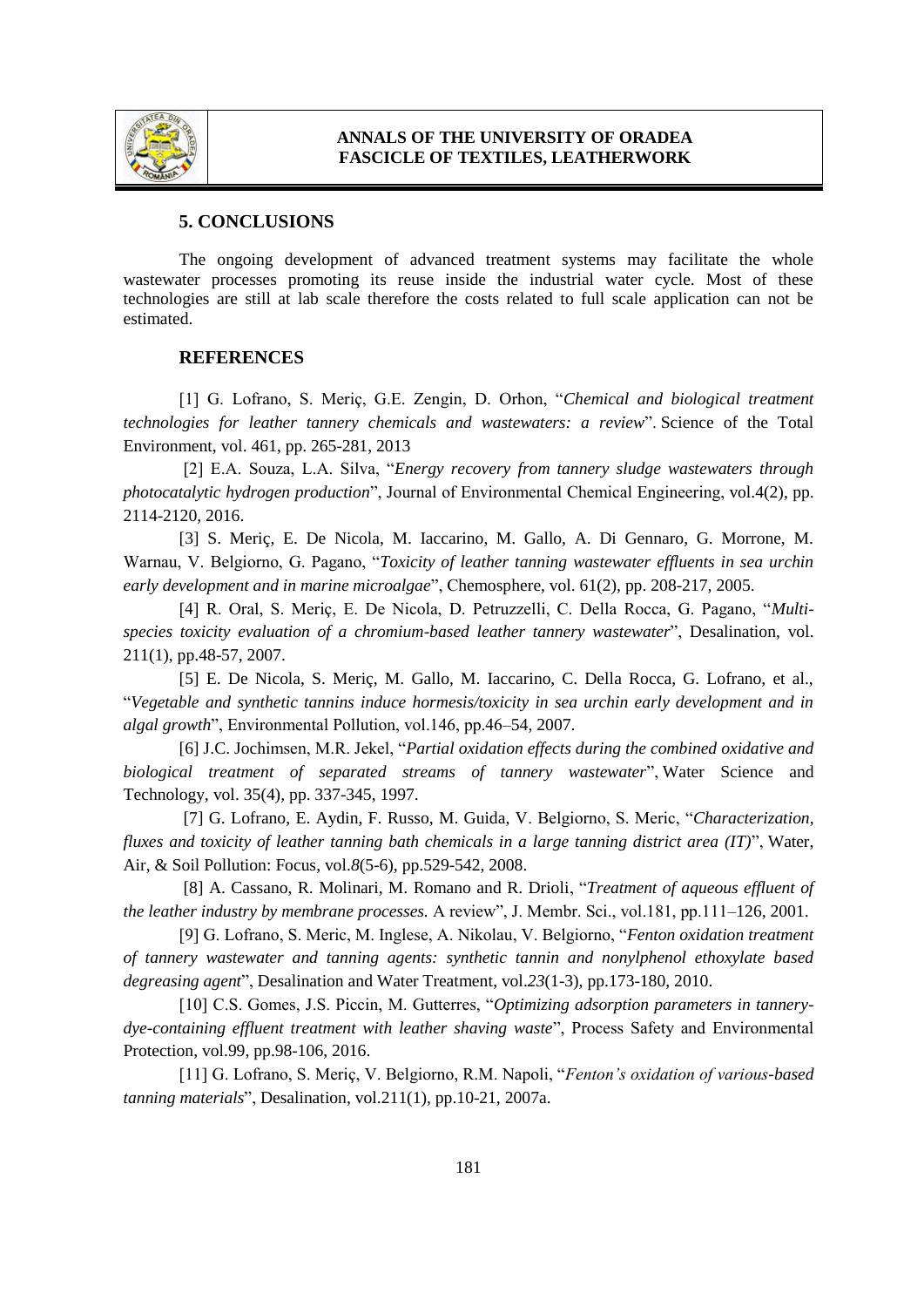

#### **5. CONCLUSIONS**

The ongoing development of advanced treatment systems may facilitate the whole wastewater processes promoting its reuse inside the industrial water cycle. Most of these technologies are still at lab scale therefore the costs related to full scale application can not be estimated.

#### **REFERENCES**

[1] G. Lofrano, S. Meriç, G.E. Zengin, D. Orhon, "*Chemical and biological treatment technologies for leather tannery chemicals and wastewaters: a review*". Science of the Total Environment, vol. 461, pp. 265-281, 2013

[2] E.A. Souza, L.A. Silva, "*Energy recovery from tannery sludge wastewaters through photocatalytic hydrogen production*", Journal of Environmental Chemical Engineering, vol.4(2), pp. 2114-2120, 2016.

[3] S. Meriç, E. De Nicola, M. Iaccarino, M. Gallo, A. Di Gennaro, G. Morrone, M. Warnau, V. Belgiorno, G. Pagano, "*Toxicity of leather tanning wastewater effluents in sea urchin early development and in marine microalgae*", Chemosphere, vol. 61(2), pp. 208-217, 2005.

[4] R. Oral, S. Meriç, E. De Nicola, D. Petruzzelli, C. Della Rocca, G. Pagano, "*Multispecies toxicity evaluation of a chromium-based leather tannery wastewater*", Desalination, vol. 211(1), pp.48-57, 2007.

[5] E. De Nicola, S. Meriç, M. Gallo, M. Iaccarino, C. Della Rocca, G. Lofrano, et al., "*Vegetable and synthetic tannins induce hormesis/toxicity in sea urchin early development and in algal growth*", Environmental Pollution, vol.146, pp.46–54, 2007.

[6] J.C. Jochimsen, M.R. Jekel, "*Partial oxidation effects during the combined oxidative and biological treatment of separated streams of tannery wastewater*", Water Science and Technology*,* vol. 35(4), pp. 337-345, 1997.

[7] G. Lofrano, E. Aydin, F. Russo, M. Guida, V. Belgiorno, S. Meric, "*Characterization, fluxes and toxicity of leather tanning bath chemicals in a large tanning district area (IT)*", Water, Air, & Soil Pollution: Focus, vol.*8*(5-6), pp.529-542, 2008.

[8] A. Cassano, R. Molinari, M. Romano and R. Drioli, "*Treatment of aqueous effluent of the leather industry by membrane processes.* A review", J. Membr. Sci., vol.181, pp.111–126, 2001.

[9] G. Lofrano, S. Meric, M. Inglese, A. Nikolau, V. Belgiorno, "*Fenton oxidation treatment of tannery wastewater and tanning agents: synthetic tannin and nonylphenol ethoxylate based degreasing agent*", Desalination and Water Treatment, vol.*23*(1-3), pp.173-180, 2010.

[10] C.S. Gomes, J.S. Piccin, M. Gutterres, "*Optimizing adsorption parameters in tannerydye-containing effluent treatment with leather shaving waste*", Process Safety and Environmental Protection, vol.99, pp.98-106, 2016.

[11] G. Lofrano, S. Meriç, V. Belgiorno, R.M. Napoli, "*Fenton's oxidation of various-based tanning materials*", Desalination, vol.211(1), pp.10-21, 2007a.